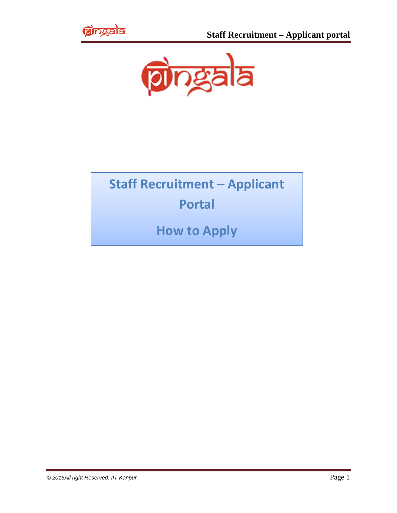



# **Staff Recruitment – Applicant Portal**

**How to Apply**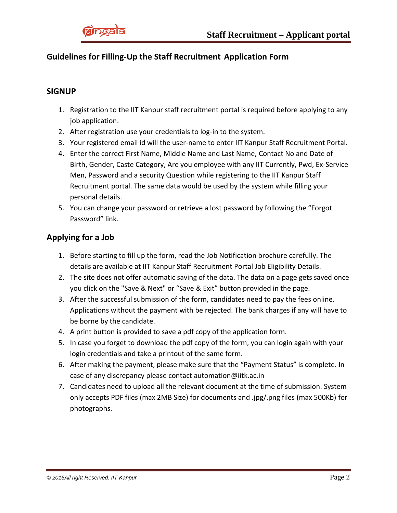# **Guidelines for Filling-Up the Staff Recruitment Application Form**

#### **SIGNUP**

- 1. Registration to the IIT Kanpur staff recruitment portal is required before applying to any job application.
- 2. After registration use your credentials to log-in to the system.
- 3. Your registered email id will the user-name to enter IIT Kanpur Staff Recruitment Portal.
- 4. Enter the correct First Name, Middle Name and Last Name, Contact No and Date of Birth, Gender, Caste Category, Are you employee with any IIT Currently, Pwd, Ex-Service Men, Password and a security Question while registering to the IIT Kanpur Staff Recruitment portal. The same data would be used by the system while filling your personal details.
- 5. You can change your password or retrieve a lost password by following the "Forgot Password" link.

## **Applying for a Job**

- 1. Before starting to fill up the form, read the Job Notification brochure carefully. The details are available at IIT Kanpur Staff Recruitment Portal Job Eligibility Details.
- 2. The site does not offer automatic saving of the data. The data on a page gets saved once you click on the "Save & Next" or "Save & Exit" button provided in the page.
- 3. After the successful submission of the form, candidates need to pay the fees online. Applications without the payment with be rejected. The bank charges if any will have to be borne by the candidate.
- 4. A print button is provided to save a pdf copy of the application form.
- 5. In case you forget to download the pdf copy of the form, you can login again with your login credentials and take a printout of the same form.
- 6. After making the payment, please make sure that the "Payment Status" is complete. In case of any discrepancy please contact automation@iitk.ac.in
- 7. Candidates need to upload all the relevant document at the time of submission. System only accepts PDF files (max 2MB Size) for documents and .jpg/.png files (max 500Kb) for photographs.